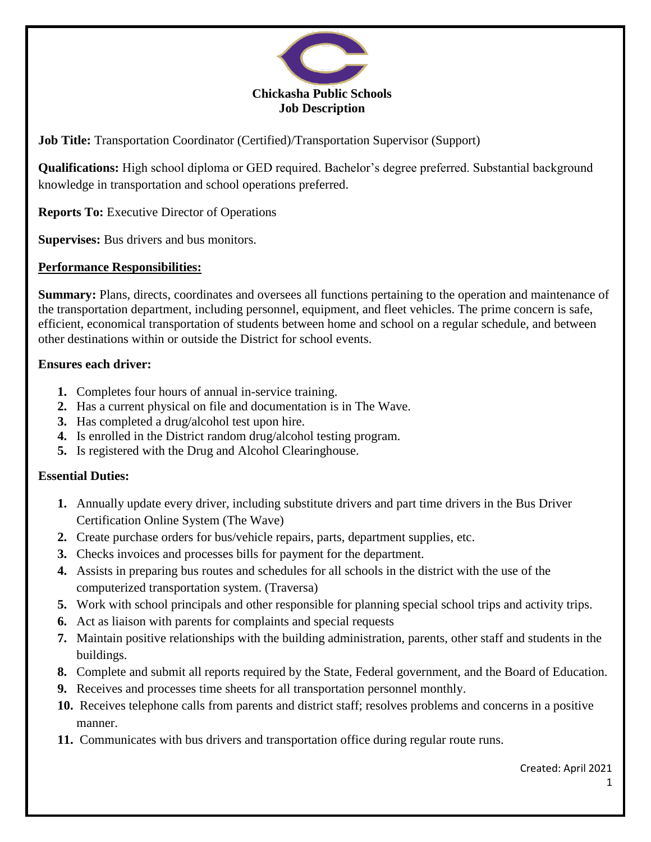

**Job Title:** Transportation Coordinator (Certified)/Transportation Supervisor (Support)

**Qualifications:** High school diploma or GED required. Bachelor's degree preferred. Substantial background knowledge in transportation and school operations preferred.

**Reports To:** Executive Director of Operations

**Supervises:** Bus drivers and bus monitors.

## **Performance Responsibilities:**

**Summary:** Plans, directs, coordinates and oversees all functions pertaining to the operation and maintenance of the transportation department, including personnel, equipment, and fleet vehicles. The prime concern is safe, efficient, economical transportation of students between home and school on a regular schedule, and between other destinations within or outside the District for school events.

## **Ensures each driver:**

- **1.** Completes four hours of annual in-service training.
- **2.** Has a current physical on file and documentation is in The Wave.
- **3.** Has completed a drug/alcohol test upon hire.
- **4.** Is enrolled in the District random drug/alcohol testing program.
- **5.** Is registered with the Drug and Alcohol Clearinghouse.

## **Essential Duties:**

- **1.** Annually update every driver, including substitute drivers and part time drivers in the Bus Driver Certification Online System (The Wave)
- **2.** Create purchase orders for bus/vehicle repairs, parts, department supplies, etc.
- **3.** Checks invoices and processes bills for payment for the department.
- **4.** Assists in preparing bus routes and schedules for all schools in the district with the use of the computerized transportation system. (Traversa)
- **5.** Work with school principals and other responsible for planning special school trips and activity trips.
- **6.** Act as liaison with parents for complaints and special requests
- **7.** Maintain positive relationships with the building administration, parents, other staff and students in the buildings.
- **8.** Complete and submit all reports required by the State, Federal government, and the Board of Education.
- **9.** Receives and processes time sheets for all transportation personnel monthly.
- **10.** Receives telephone calls from parents and district staff; resolves problems and concerns in a positive manner.
- **11.** Communicates with bus drivers and transportation office during regular route runs.